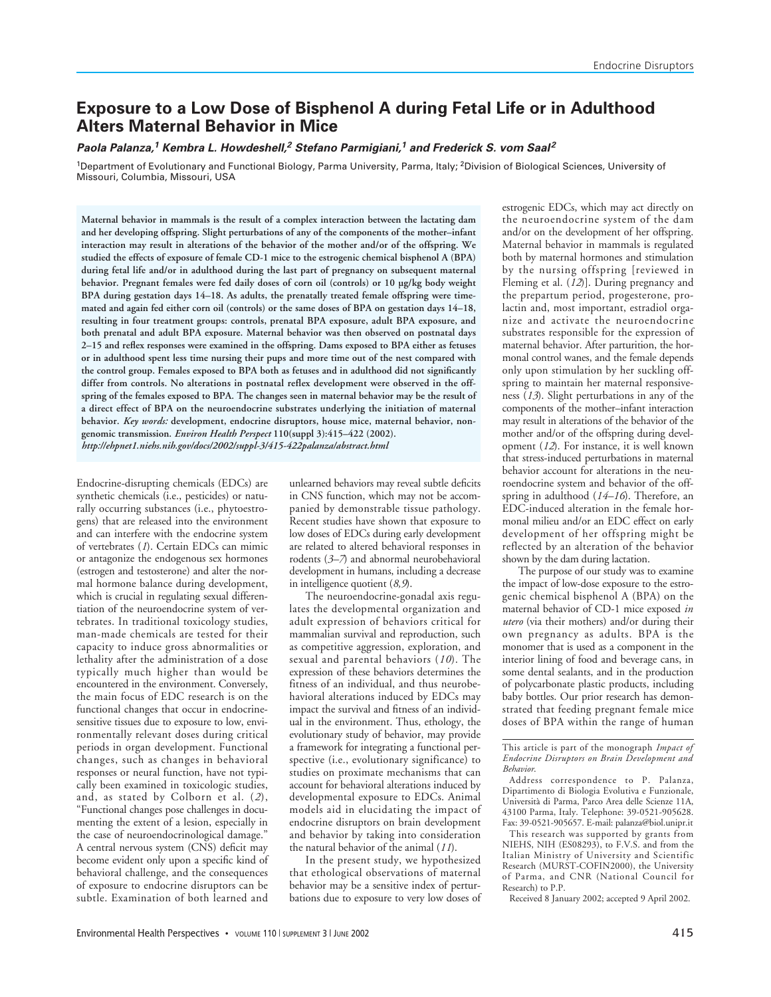# **Exposure to a Low Dose of Bisphenol A during Fetal Life or in Adulthood Alters Maternal Behavior in Mice**

**Paola Palanza,<sup>1</sup> Kembra L. Howdeshell,<sup>2</sup> Stefano Parmigiani,<sup>1</sup> and Frederick S. vom Saal<sup>2</sup>**

<sup>1</sup>Department of Evolutionary and Functional Biology, Parma University, Parma, Italy; <sup>2</sup>Division of Biological Sciences, University of Missouri, Columbia, Missouri, USA

**Maternal behavior in mammals is the result of a complex interaction between the lactating dam and her developing offspring. Slight perturbations of any of the components of the mother–infant interaction may result in alterations of the behavior of the mother and/or of the offspring. We studied the effects of exposure of female CD-1 mice to the estrogenic chemical bisphenol A (BPA) during fetal life and/or in adulthood during the last part of pregnancy on subsequent maternal behavior. Pregnant females were fed daily doses of corn oil (controls) or 10 µg/kg body weight BPA during gestation days 14–18. As adults, the prenatally treated female offspring were timemated and again fed either corn oil (controls) or the same doses of BPA on gestation days 14–18, resulting in four treatment groups: controls, prenatal BPA exposure, adult BPA exposure, and both prenatal and adult BPA exposure. Maternal behavior was then observed on postnatal days 2–15 and reflex responses were examined in the offspring. Dams exposed to BPA either as fetuses or in adulthood spent less time nursing their pups and more time out of the nest compared with the control group. Females exposed to BPA both as fetuses and in adulthood did not significantly differ from controls. No alterations in postnatal reflex development were observed in the offspring of the females exposed to BPA. The changes seen in maternal behavior may be the result of a direct effect of BPA on the neuroendocrine substrates underlying the initiation of maternal behavior.** *Key words:* **development, endocrine disruptors, house mice, maternal behavior, nongenomic transmission.** *Environ Health Perspect* **110(suppl 3):415–422 (2002).** *http://ehpnet1.niehs.nih.gov/docs/2002/suppl-3/415-422palanza/abstract.html*

Endocrine-disrupting chemicals (EDCs) are synthetic chemicals (i.e., pesticides) or naturally occurring substances (i.e., phytoestrogens) that are released into the environment and can interfere with the endocrine system of vertebrates (*1*). Certain EDCs can mimic or antagonize the endogenous sex hormones (estrogen and testosterone) and alter the normal hormone balance during development, which is crucial in regulating sexual differentiation of the neuroendocrine system of vertebrates. In traditional toxicology studies, man-made chemicals are tested for their capacity to induce gross abnormalities or lethality after the administration of a dose typically much higher than would be encountered in the environment. Conversely, the main focus of EDC research is on the functional changes that occur in endocrinesensitive tissues due to exposure to low, environmentally relevant doses during critical periods in organ development. Functional changes, such as changes in behavioral responses or neural function, have not typically been examined in toxicologic studies, and, as stated by Colborn et al. (*2*), "Functional changes pose challenges in documenting the extent of a lesion, especially in the case of neuroendocrinological damage." A central nervous system (CNS) deficit may become evident only upon a specific kind of behavioral challenge, and the consequences of exposure to endocrine disruptors can be subtle. Examination of both learned and

unlearned behaviors may reveal subtle deficits in CNS function, which may not be accompanied by demonstrable tissue pathology. Recent studies have shown that exposure to low doses of EDCs during early development are related to altered behavioral responses in rodents (*3–7*) and abnormal neurobehavioral development in humans, including a decrease in intelligence quotient (*8,9*).

The neuroendocrine-gonadal axis regulates the developmental organization and adult expression of behaviors critical for mammalian survival and reproduction, such as competitive aggression, exploration, and sexual and parental behaviors (*10*). The expression of these behaviors determines the fitness of an individual, and thus neurobehavioral alterations induced by EDCs may impact the survival and fitness of an individual in the environment. Thus, ethology, the evolutionary study of behavior, may provide a framework for integrating a functional perspective (i.e., evolutionary significance) to studies on proximate mechanisms that can account for behavioral alterations induced by developmental exposure to EDCs. Animal models aid in elucidating the impact of endocrine disruptors on brain development and behavior by taking into consideration the natural behavior of the animal (*11*).

In the present study, we hypothesized that ethological observations of maternal behavior may be a sensitive index of perturbations due to exposure to very low doses of estrogenic EDCs, which may act directly on the neuroendocrine system of the dam and/or on the development of her offspring. Maternal behavior in mammals is regulated both by maternal hormones and stimulation by the nursing offspring [reviewed in Fleming et al. (*12*)]. During pregnancy and the prepartum period, progesterone, prolactin and, most important, estradiol organize and activate the neuroendocrine substrates responsible for the expression of maternal behavior. After parturition, the hormonal control wanes, and the female depends only upon stimulation by her suckling offspring to maintain her maternal responsiveness (*13*). Slight perturbations in any of the components of the mother–infant interaction may result in alterations of the behavior of the mother and/or of the offspring during development (*12*). For instance, it is well known that stress-induced perturbations in maternal behavior account for alterations in the neuroendocrine system and behavior of the offspring in adulthood (*14–16*). Therefore, an EDC-induced alteration in the female hormonal milieu and/or an EDC effect on early development of her offspring might be reflected by an alteration of the behavior shown by the dam during lactation.

The purpose of our study was to examine the impact of low-dose exposure to the estrogenic chemical bisphenol A (BPA) on the maternal behavior of CD-1 mice exposed *in utero* (via their mothers) and/or during their own pregnancy as adults. BPA is the monomer that is used as a component in the interior lining of food and beverage cans, in some dental sealants, and in the production of polycarbonate plastic products, including baby bottles. Our prior research has demonstrated that feeding pregnant female mice doses of BPA within the range of human

Received 8 January 2002; accepted 9 April 2002.

This article is part of the monograph *Impact of Endocrine Disruptors on Brain Development and Behavior*.

Address correspondence to P. Palanza, Dipartimento di Biologia Evolutiva e Funzionale, Università di Parma, Parco Area delle Scienze 11A, 43100 Parma, Italy. Telephone: 39-0521-905628. Fax: 39-0521-905657. E-mail: palanza@biol.unipr.it

This research was supported by grants from NIEHS, NIH (ES08293), to F.V.S. and from the Italian Ministry of University and Scientific Research (MURST-COFIN2000), the University of Parma, and CNR (National Council for Research) to P.P.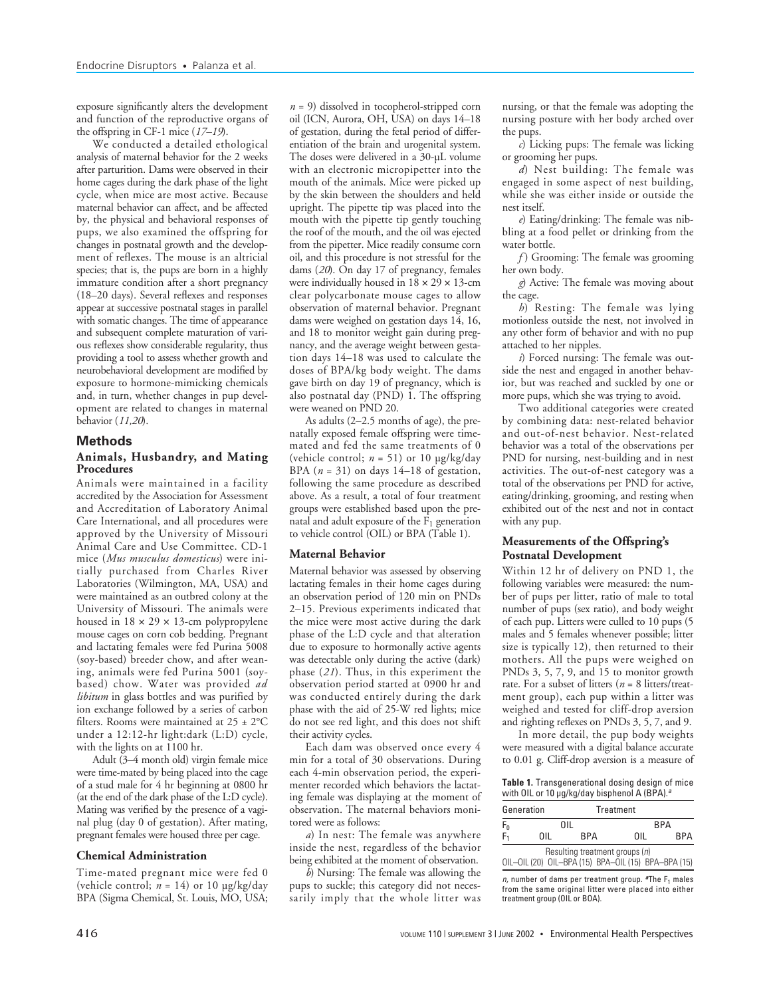exposure significantly alters the development and function of the reproductive organs of the offspring in CF-1 mice (*17–19*).

We conducted a detailed ethological analysis of maternal behavior for the 2 weeks after parturition. Dams were observed in their home cages during the dark phase of the light cycle, when mice are most active. Because maternal behavior can affect, and be affected by, the physical and behavioral responses of pups, we also examined the offspring for changes in postnatal growth and the development of reflexes. The mouse is an altricial species; that is, the pups are born in a highly immature condition after a short pregnancy (18–20 days). Several reflexes and responses appear at successive postnatal stages in parallel with somatic changes. The time of appearance and subsequent complete maturation of various reflexes show considerable regularity, thus providing a tool to assess whether growth and neurobehavioral development are modified by exposure to hormone-mimicking chemicals and, in turn, whether changes in pup development are related to changes in maternal behavior (*11,20*).

### **Methods**

### **Animals, Husbandry, and Mating Procedures**

Animals were maintained in a facility accredited by the Association for Assessment and Accreditation of Laboratory Animal Care International, and all procedures were approved by the University of Missouri Animal Care and Use Committee. CD-1 mice (*Mus musculus domesticus*) were initially purchased from Charles River Laboratories (Wilmington, MA, USA) and were maintained as an outbred colony at the University of Missouri. The animals were housed in  $18 \times 29 \times 13$ -cm polypropylene mouse cages on corn cob bedding. Pregnant and lactating females were fed Purina 5008 (soy-based) breeder chow, and after weaning, animals were fed Purina 5001 (soybased) chow. Water was provided *ad libitum* in glass bottles and was purified by ion exchange followed by a series of carbon filters. Rooms were maintained at 25 ± 2°C under a 12:12-hr light:dark (L:D) cycle, with the lights on at 1100 hr.

Adult (3–4 month old) virgin female mice were time-mated by being placed into the cage of a stud male for 4 hr beginning at 0800 hr (at the end of the dark phase of the L:D cycle). Mating was verified by the presence of a vaginal plug (day 0 of gestation). After mating, pregnant females were housed three per cage.

#### **Chemical Administration**

Time-mated pregnant mice were fed 0 (vehicle control;  $n = 14$ ) or 10  $\mu$ g/kg/day BPA (Sigma Chemical, St. Louis, MO, USA;

*n* = 9) dissolved in tocopherol-stripped corn oil (ICN, Aurora, OH, USA) on days 14–18 of gestation, during the fetal period of differentiation of the brain and urogenital system. The doses were delivered in a 30-µL volume with an electronic micropipetter into the mouth of the animals. Mice were picked up by the skin between the shoulders and held upright. The pipette tip was placed into the mouth with the pipette tip gently touching the roof of the mouth, and the oil was ejected from the pipetter. Mice readily consume corn oil, and this procedure is not stressful for the dams (*20*). On day 17 of pregnancy, females were individually housed in  $18 \times 29 \times 13$ -cm clear polycarbonate mouse cages to allow observation of maternal behavior. Pregnant dams were weighed on gestation days 14, 16, and 18 to monitor weight gain during pregnancy, and the average weight between gestation days 14–18 was used to calculate the doses of BPA/kg body weight. The dams gave birth on day 19 of pregnancy, which is also postnatal day (PND) 1. The offspring were weaned on PND 20.

As adults (2–2.5 months of age), the prenatally exposed female offspring were timemated and fed the same treatments of 0 (vehicle control;  $n = 51$ ) or 10  $\mu$ g/kg/day BPA  $(n = 31)$  on days  $14-18$  of gestation, following the same procedure as described above. As a result, a total of four treatment groups were established based upon the prenatal and adult exposure of the  $F_1$  generation to vehicle control (OIL) or BPA (Table 1).

### **Maternal Behavior**

Maternal behavior was assessed by observing lactating females in their home cages during an observation period of 120 min on PNDs 2–15. Previous experiments indicated that the mice were most active during the dark phase of the L:D cycle and that alteration due to exposure to hormonally active agents was detectable only during the active (dark) phase (*21*). Thus, in this experiment the observation period started at 0900 hr and was conducted entirely during the dark phase with the aid of 25-W red lights; mice do not see red light, and this does not shift their activity cycles.

Each dam was observed once every 4 min for a total of 30 observations. During each 4-min observation period, the experimenter recorded which behaviors the lactating female was displaying at the moment of observation. The maternal behaviors monitored were as follows:

*a*) In nest: The female was anywhere inside the nest, regardless of the behavior being exhibited at the moment of observation.

*b*) Nursing: The female was allowing the pups to suckle; this category did not necessarily imply that the whole litter was

nursing, or that the female was adopting the nursing posture with her body arched over the pups.

*c*) Licking pups: The female was licking or grooming her pups.

*d*) Nest building: The female was engaged in some aspect of nest building, while she was either inside or outside the nest itself.

*e*) Eating/drinking: The female was nibbling at a food pellet or drinking from the water bottle.

*f*) Grooming: The female was grooming her own body.

*g*) Active: The female was moving about the cage.

*h*) Resting: The female was lying motionless outside the nest, not involved in any other form of behavior and with no pup attached to her nipples.

*i*) Forced nursing: The female was outside the nest and engaged in another behavior, but was reached and suckled by one or more pups, which she was trying to avoid.

Two additional categories were created by combining data: nest-related behavior and out-of-nest behavior. Nest-related behavior was a total of the observations per PND for nursing, nest-building and in nest activities. The out-of-nest category was a total of the observations per PND for active, eating/drinking, grooming, and resting when exhibited out of the nest and not in contact with any pup.

### **Measurements of the Offspring's Postnatal Development**

Within 12 hr of delivery on PND 1, the following variables were measured: the number of pups per litter, ratio of male to total number of pups (sex ratio), and body weight of each pup. Litters were culled to 10 pups (5 males and 5 females whenever possible; litter size is typically 12), then returned to their mothers. All the pups were weighed on PNDs 3, 5, 7, 9, and 15 to monitor growth rate. For a subset of litters (*n* = 8 litters/treatment group), each pup within a litter was weighed and tested for cliff-drop aversion and righting reflexes on PNDs 3, 5, 7, and 9.

In more detail, the pup body weights were measured with a digital balance accurate to 0.01 g. Cliff-drop aversion is a measure of

**Table 1.** Transgenerational dosing design of mice with OIL or 10 µg/kg/day bisphenol A (BPA).<sup>a</sup>

| Generation     |      | Treatment                                           |            |     |
|----------------|------|-----------------------------------------------------|------------|-----|
| $F_0$<br>$F_1$ |      | 0II.                                                | <b>BPA</b> |     |
|                | 0II. | <b>BPA</b>                                          | 0II.       | RPA |
|                |      | Resulting treatment groups $(n)$                    |            |     |
|                |      | OIL-OIL (20) OIL-BPA (15) BPA-OIL (15) BPA-BPA (15) |            |     |

n, number of dams per treatment group. **a**The F<sup>1</sup> males from the same original litter were placed into either treatment group (OIL or BOA).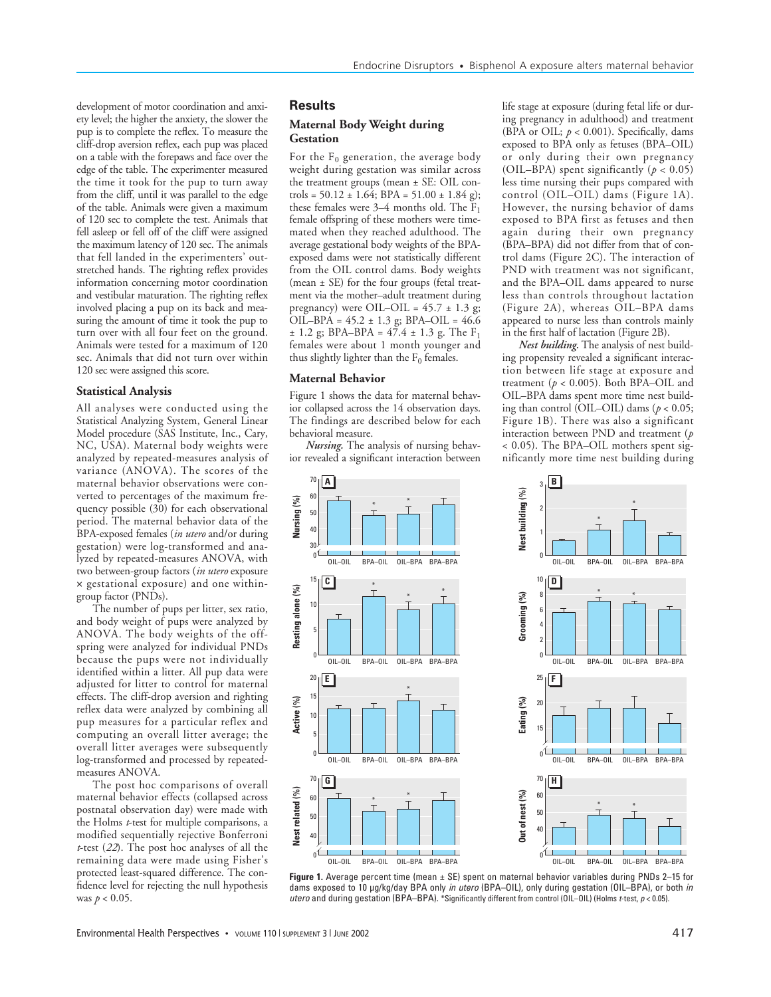development of motor coordination and anxiety level; the higher the anxiety, the slower the pup is to complete the reflex. To measure the cliff-drop aversion reflex, each pup was placed on a table with the forepaws and face over the edge of the table. The experimenter measured the time it took for the pup to turn away from the cliff, until it was parallel to the edge of the table. Animals were given a maximum of 120 sec to complete the test. Animals that fell asleep or fell off of the cliff were assigned the maximum latency of 120 sec. The animals that fell landed in the experimenters' outstretched hands. The righting reflex provides information concerning motor coordination and vestibular maturation. The righting reflex involved placing a pup on its back and measuring the amount of time it took the pup to turn over with all four feet on the ground. Animals were tested for a maximum of 120 sec. Animals that did not turn over within 120 sec were assigned this score.

### **Statistical Analysis**

All analyses were conducted using the Statistical Analyzing System, General Linear Model procedure (SAS Institute, Inc., Cary, NC, USA). Maternal body weights were analyzed by repeated-measures analysis of variance (ANOVA). The scores of the maternal behavior observations were converted to percentages of the maximum frequency possible (30) for each observational period. The maternal behavior data of the BPA-exposed females (*in utero* and/or during gestation) were log-transformed and analyzed by repeated-measures ANOVA, with two between-group factors (*in utero* exposure × gestational exposure) and one withingroup factor (PNDs).

The number of pups per litter, sex ratio, and body weight of pups were analyzed by ANOVA. The body weights of the offspring were analyzed for individual PNDs because the pups were not individually identified within a litter. All pup data were adjusted for litter to control for maternal effects. The cliff-drop aversion and righting reflex data were analyzed by combining all pup measures for a particular reflex and computing an overall litter average; the overall litter averages were subsequently log-transformed and processed by repeatedmeasures ANOVA.

The post hoc comparisons of overall maternal behavior effects (collapsed across postnatal observation day) were made with the Holms *t*-test for multiple comparisons, a modified sequentially rejective Bonferroni *t*-test (*22*). The post hoc analyses of all the remaining data were made using Fisher's protected least-squared difference. The confidence level for rejecting the null hypothesis was *p* < 0.05.

### **Results**

### **Maternal Body Weight during Gestation**

For the  $F_0$  generation, the average body weight during gestation was similar across the treatment groups (mean ± SE: OIL controls =  $50.12 \pm 1.64$ ; BPA =  $51.00 \pm 1.84$  g); these females were 3–4 months old. The  $F_1$ female offspring of these mothers were timemated when they reached adulthood. The average gestational body weights of the BPAexposed dams were not statistically different from the OIL control dams. Body weights (mean ± SE) for the four groups (fetal treatment via the mother–adult treatment during pregnancy) were OIL–OIL =  $45.7 \pm 1.3$  g; OIL–BPA = 45.2 ± 1.3 g; BPA–OIL = 46.6  $\pm$  1.2 g; BPA–BPA = 47.4  $\pm$  1.3 g. The F<sub>1</sub> females were about 1 month younger and thus slightly lighter than the  $F_0$  females.

#### **Maternal Behavior**

**Nursing (%)**

15

10

**Resting alone (%)**

Resting alone (%)

**Active (%)**

**Nest related (%)**

Nest related (%)

5

Figure 1 shows the data for maternal behavior collapsed across the 14 observation days. The findings are described below for each behavioral measure.

*Nursing.* The analysis of nursing behavior revealed a significant interaction between



**Figure 1.** Average percent time (mean ± SE) spent on maternal behavior variables during PNDs 2–15 for dams exposed to 10 µg/kg/day BPA only in utero (BPA-OIL), only during gestation (OIL-BPA), or both in utero and during gestation (BPA–BPA). \*Significantly different from control (OIL–OIL) (Holms t-test,  $p < 0.05$ ).

life stage at exposure (during fetal life or during pregnancy in adulthood) and treatment (BPA or OIL;  $p < 0.001$ ). Specifically, dams exposed to BPA only as fetuses (BPA–OIL) or only during their own pregnancy (OIL–BPA) spent significantly  $(p < 0.05)$ less time nursing their pups compared with control (OIL–OIL) dams (Figure 1A). However, the nursing behavior of dams exposed to BPA first as fetuses and then again during their own pregnancy (BPA–BPA) did not differ from that of control dams (Figure 2C). The interaction of PND with treatment was not significant, and the BPA–OIL dams appeared to nurse less than controls throughout lactation (Figure 2A), whereas OIL–BPA dams appeared to nurse less than controls mainly

*Nest building.* The analysis of nest building propensity revealed a significant interaction between life stage at exposure and treatment ( $p < 0.005$ ). Both BPA-OIL and OIL–BPA dams spent more time nest building than control (OIL–OIL) dams (*p* < 0.05; Figure 1B). There was also a significant interaction between PND and treatment (*p* < 0.05). The BPA–OIL mothers spent significantly more time nest building during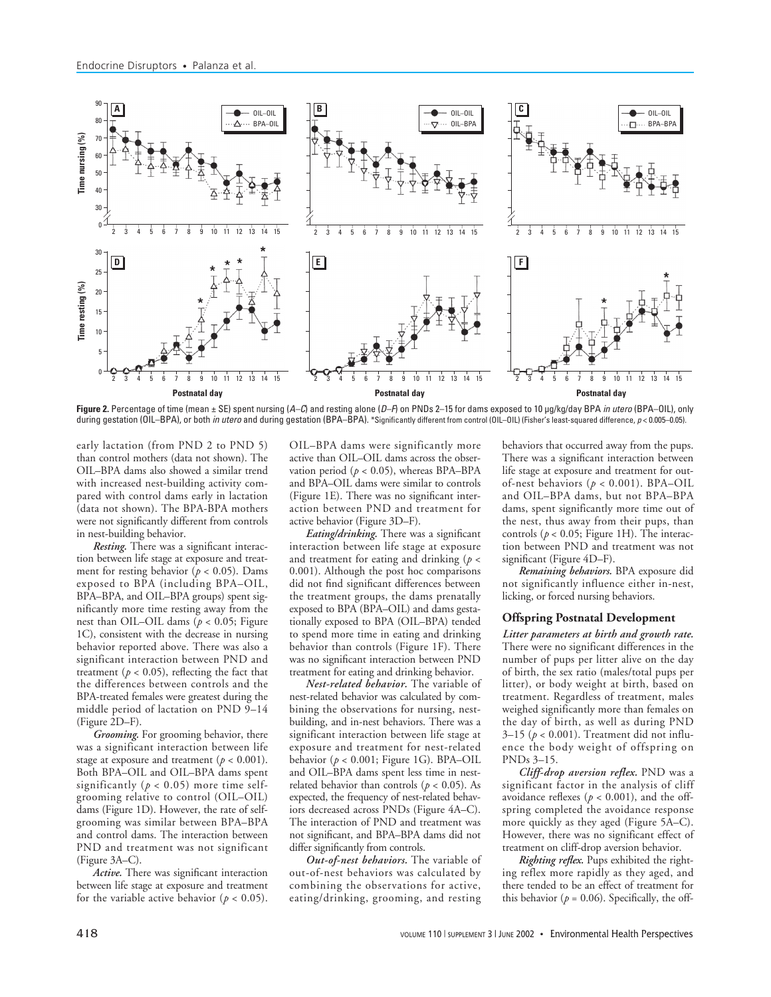

Figure 2. Percentage of time (mean ± SE) spent nursing (A–C) and resting alone (D–F) on PNDs 2–15 for dams exposed to 10 µg/kg/day BPA *in utero* (BPA–OIL), only during gestation (OIL–BPA), or both in utero and during gestation (BPA–BPA). \*Significantly different from control (OIL–OIL) (Fisher's least-squared difference, p < 0.005–0.05).

early lactation (from PND 2 to PND 5) than control mothers (data not shown). The OIL–BPA dams also showed a similar trend with increased nest-building activity compared with control dams early in lactation (data not shown). The BPA-BPA mothers were not significantly different from controls in nest-building behavior.

*Resting.* There was a significant interaction between life stage at exposure and treatment for resting behavior ( $p < 0.05$ ). Dams exposed to BPA (including BPA–OIL, BPA–BPA, and OIL–BPA groups) spent significantly more time resting away from the nest than OIL–OIL dams  $(p < 0.05$ ; Figure 1C), consistent with the decrease in nursing behavior reported above. There was also a significant interaction between PND and treatment ( $p < 0.05$ ), reflecting the fact that the differences between controls and the BPA-treated females were greatest during the middle period of lactation on PND 9–14 (Figure 2D–F).

*Grooming.* For grooming behavior, there was a significant interaction between life stage at exposure and treatment  $(p < 0.001)$ . Both BPA–OIL and OIL–BPA dams spent significantly ( $p < 0.05$ ) more time selfgrooming relative to control (OIL–OIL) dams (Figure 1D). However, the rate of selfgrooming was similar between BPA–BPA and control dams. The interaction between PND and treatment was not significant (Figure 3A–C).

*Active.* There was significant interaction between life stage at exposure and treatment for the variable active behavior ( $p < 0.05$ ).

OIL–BPA dams were significantly more active than OIL–OIL dams across the observation period ( $p < 0.05$ ), whereas BPA–BPA and BPA–OIL dams were similar to controls (Figure 1E). There was no significant interaction between PND and treatment for active behavior (Figure 3D–F).

*Eating/drinking.* There was a significant interaction between life stage at exposure and treatment for eating and drinking (*p* < 0.001). Although the post hoc comparisons did not find significant differences between the treatment groups, the dams prenatally exposed to BPA (BPA–OIL) and dams gestationally exposed to BPA (OIL–BPA) tended to spend more time in eating and drinking behavior than controls (Figure 1F). There was no significant interaction between PND treatment for eating and drinking behavior.

*Nest-related behavior.* The variable of nest-related behavior was calculated by combining the observations for nursing, nestbuilding, and in-nest behaviors. There was a significant interaction between life stage at exposure and treatment for nest-related behavior (*p* < 0.001; Figure 1G). BPA–OIL and OIL–BPA dams spent less time in nestrelated behavior than controls ( $p < 0.05$ ). As expected, the frequency of nest-related behaviors decreased across PNDs (Figure 4A–C). The interaction of PND and treatment was not significant, and BPA–BPA dams did not differ significantly from controls.

*Out-of-nest behaviors.* The variable of out-of-nest behaviors was calculated by combining the observations for active, eating/drinking, grooming, and resting

behaviors that occurred away from the pups. There was a significant interaction between life stage at exposure and treatment for outof-nest behaviors (*p* < 0.001). BPA–OIL and OIL–BPA dams, but not BPA–BPA dams, spent significantly more time out of the nest, thus away from their pups, than controls ( $p < 0.05$ ; Figure 1H). The interaction between PND and treatment was not significant (Figure 4D–F).

*Remaining behaviors.* BPA exposure did not significantly influence either in-nest, licking, or forced nursing behaviors.

#### **Offspring Postnatal Development**

*Litter parameters at birth and growth rate.* There were no significant differences in the number of pups per litter alive on the day of birth, the sex ratio (males/total pups per litter), or body weight at birth, based on treatment. Regardless of treatment, males weighed significantly more than females on the day of birth, as well as during PND 3–15 (*p* < 0.001). Treatment did not influence the body weight of offspring on PNDs 3–15.

*Cliff-drop aversion reflex.* PND was a significant factor in the analysis of cliff avoidance reflexes ( $p < 0.001$ ), and the offspring completed the avoidance response more quickly as they aged (Figure 5A–C). However, there was no significant effect of treatment on cliff-drop aversion behavior.

*Righting reflex.* Pups exhibited the righting reflex more rapidly as they aged, and there tended to be an effect of treatment for this behavior ( $p = 0.06$ ). Specifically, the off-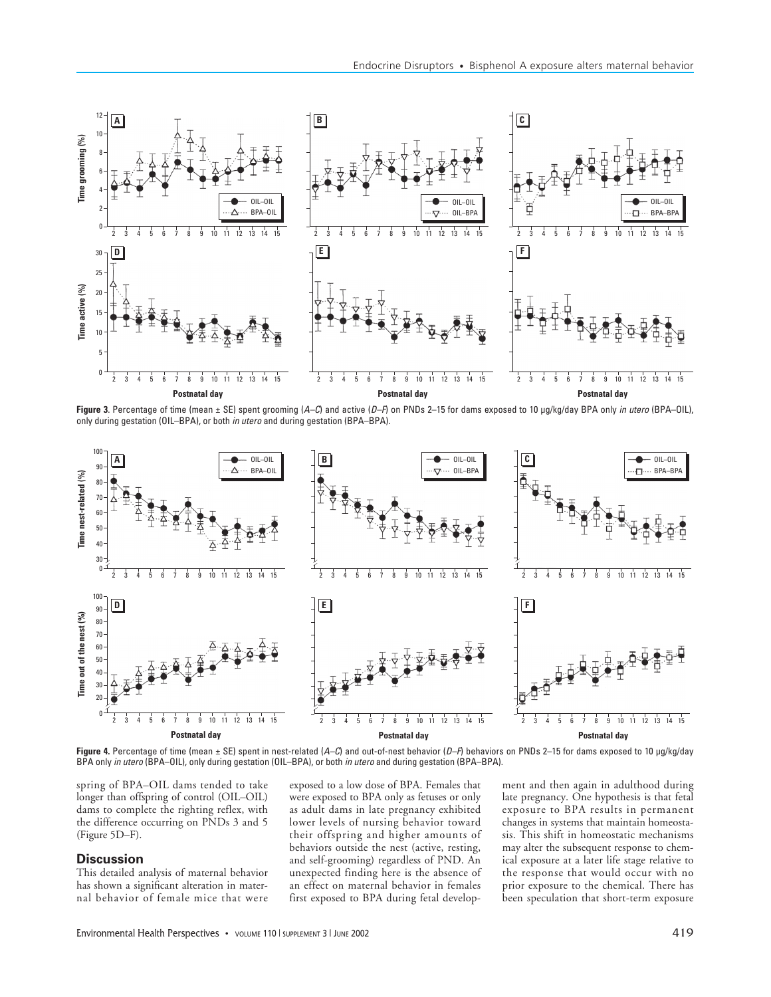

Figure 3. Percentage of time (mean ± SE) spent grooming (A–C) and active (D–F) on PNDs 2–15 for dams exposed to 10 µg/kg/day BPA only in utero (BPA–OIL), only during gestation (OIL–BPA), or both in utero and during gestation (BPA–BPA).



**Figure 4.** Percentage of time (mean ± SE) spent in nest-related (A–C) and out-of-nest behavior (D–F) behaviors on PNDs 2–15 for dams exposed to 10 µg/kg/day BPA only in utero (BPA–OIL), only during gestation (OIL–BPA), or both in utero and during gestation (BPA–BPA).

spring of BPA–OIL dams tended to take longer than offspring of control (OIL–OIL) dams to complete the righting reflex, with the difference occurring on PNDs 3 and 5 (Figure 5D–F).

## **Discussion**

This detailed analysis of maternal behavior has shown a significant alteration in maternal behavior of female mice that were

exposed to a low dose of BPA. Females that were exposed to BPA only as fetuses or only as adult dams in late pregnancy exhibited lower levels of nursing behavior toward their offspring and higher amounts of behaviors outside the nest (active, resting, and self-grooming) regardless of PND. An unexpected finding here is the absence of an effect on maternal behavior in females first exposed to BPA during fetal develop-

ment and then again in adulthood during late pregnancy. One hypothesis is that fetal exposure to BPA results in permanent changes in systems that maintain homeostasis. This shift in homeostatic mechanisms may alter the subsequent response to chemical exposure at a later life stage relative to the response that would occur with no prior exposure to the chemical. There has been speculation that short-term exposure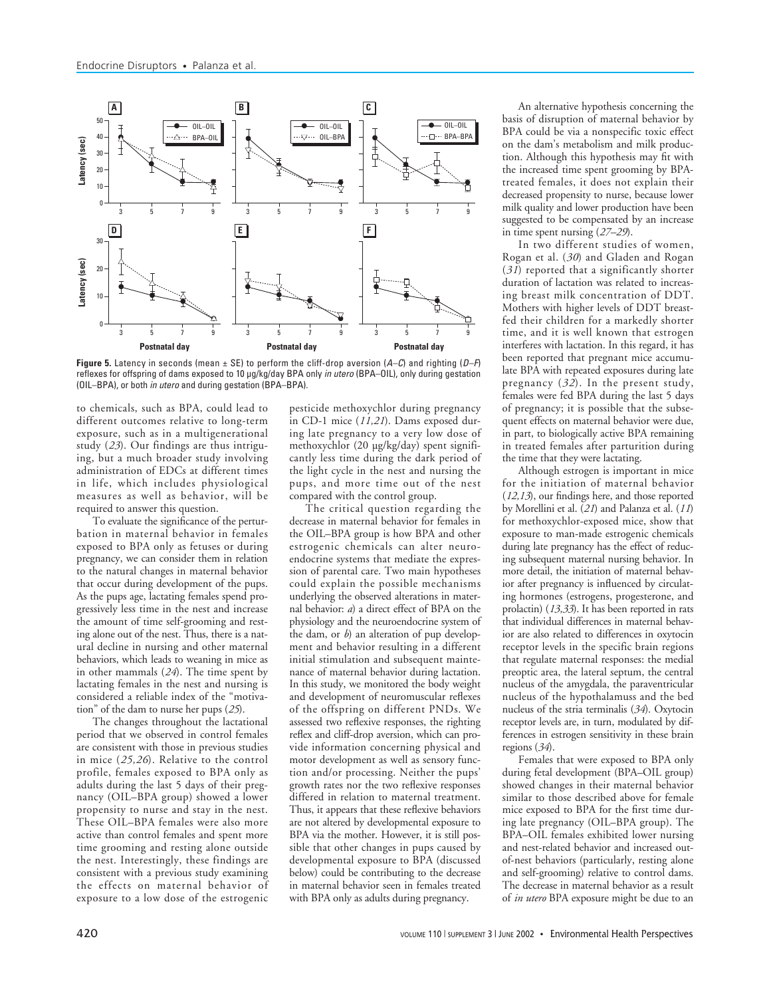

**Figure 5.** Latency in seconds (mean  $\pm$  SE) to perform the cliff-drop aversion ( $A-C$ ) and righting ( $D-F$ ) reflexes for offspring of dams exposed to 10 µg/kg/day BPA only in utero (BPA-OIL), only during gestation (OIL–BPA), or both in utero and during gestation (BPA–BPA).

to chemicals, such as BPA, could lead to different outcomes relative to long-term exposure, such as in a multigenerational study (*23*). Our findings are thus intriguing, but a much broader study involving administration of EDCs at different times in life, which includes physiological measures as well as behavior, will be required to answer this question.

To evaluate the significance of the perturbation in maternal behavior in females exposed to BPA only as fetuses or during pregnancy, we can consider them in relation to the natural changes in maternal behavior that occur during development of the pups. As the pups age, lactating females spend progressively less time in the nest and increase the amount of time self-grooming and resting alone out of the nest. Thus, there is a natural decline in nursing and other maternal behaviors, which leads to weaning in mice as in other mammals (*24*). The time spent by lactating females in the nest and nursing is considered a reliable index of the "motivation" of the dam to nurse her pups (*25*).

The changes throughout the lactational period that we observed in control females are consistent with those in previous studies in mice (*25,26*). Relative to the control profile, females exposed to BPA only as adults during the last 5 days of their pregnancy (OIL–BPA group) showed a lower propensity to nurse and stay in the nest. These OIL–BPA females were also more active than control females and spent more time grooming and resting alone outside the nest. Interestingly, these findings are consistent with a previous study examining the effects on maternal behavior of exposure to a low dose of the estrogenic

pesticide methoxychlor during pregnancy in CD-1 mice (*11,21*). Dams exposed during late pregnancy to a very low dose of methoxychlor (20 µg/kg/day) spent significantly less time during the dark period of the light cycle in the nest and nursing the pups, and more time out of the nest compared with the control group.

The critical question regarding the decrease in maternal behavior for females in the OIL–BPA group is how BPA and other estrogenic chemicals can alter neuroendocrine systems that mediate the expression of parental care. Two main hypotheses could explain the possible mechanisms underlying the observed alterations in maternal behavior: *a*) a direct effect of BPA on the physiology and the neuroendocrine system of the dam, or *b*) an alteration of pup development and behavior resulting in a different initial stimulation and subsequent maintenance of maternal behavior during lactation. In this study, we monitored the body weight and development of neuromuscular reflexes of the offspring on different PNDs. We assessed two reflexive responses, the righting reflex and cliff-drop aversion, which can provide information concerning physical and motor development as well as sensory function and/or processing. Neither the pups' growth rates nor the two reflexive responses differed in relation to maternal treatment. Thus, it appears that these reflexive behaviors are not altered by developmental exposure to BPA via the mother. However, it is still possible that other changes in pups caused by developmental exposure to BPA (discussed below) could be contributing to the decrease in maternal behavior seen in females treated with BPA only as adults during pregnancy.

An alternative hypothesis concerning the basis of disruption of maternal behavior by BPA could be via a nonspecific toxic effect on the dam's metabolism and milk production. Although this hypothesis may fit with the increased time spent grooming by BPAtreated females, it does not explain their decreased propensity to nurse, because lower milk quality and lower production have been suggested to be compensated by an increase in time spent nursing (*27–29*).

In two different studies of women, Rogan et al. (*30*) and Gladen and Rogan (*31*) reported that a significantly shorter duration of lactation was related to increasing breast milk concentration of DDT. Mothers with higher levels of DDT breastfed their children for a markedly shorter time, and it is well known that estrogen interferes with lactation. In this regard, it has been reported that pregnant mice accumulate BPA with repeated exposures during late pregnancy (*32*). In the present study, females were fed BPA during the last 5 days of pregnancy; it is possible that the subsequent effects on maternal behavior were due, in part, to biologically active BPA remaining in treated females after parturition during the time that they were lactating.

Although estrogen is important in mice for the initiation of maternal behavior (*12,13*), our findings here, and those reported by Morellini et al. (*21*) and Palanza et al. (*11*) for methoxychlor-exposed mice, show that exposure to man-made estrogenic chemicals during late pregnancy has the effect of reducing subsequent maternal nursing behavior. In more detail, the initiation of maternal behavior after pregnancy is influenced by circulating hormones (estrogens, progesterone, and prolactin) (*13,33*). It has been reported in rats that individual differences in maternal behavior are also related to differences in oxytocin receptor levels in the specific brain regions that regulate maternal responses: the medial preoptic area, the lateral septum, the central nucleus of the amygdala, the paraventricular nucleus of the hypothalamuss and the bed nucleus of the stria terminalis (*34*). Oxytocin receptor levels are, in turn, modulated by differences in estrogen sensitivity in these brain regions (*34*).

Females that were exposed to BPA only during fetal development (BPA–OIL group) showed changes in their maternal behavior similar to those described above for female mice exposed to BPA for the first time during late pregnancy (OIL–BPA group). The BPA–OIL females exhibited lower nursing and nest-related behavior and increased outof-nest behaviors (particularly, resting alone and self-grooming) relative to control dams. The decrease in maternal behavior as a result of *in utero* BPA exposure might be due to an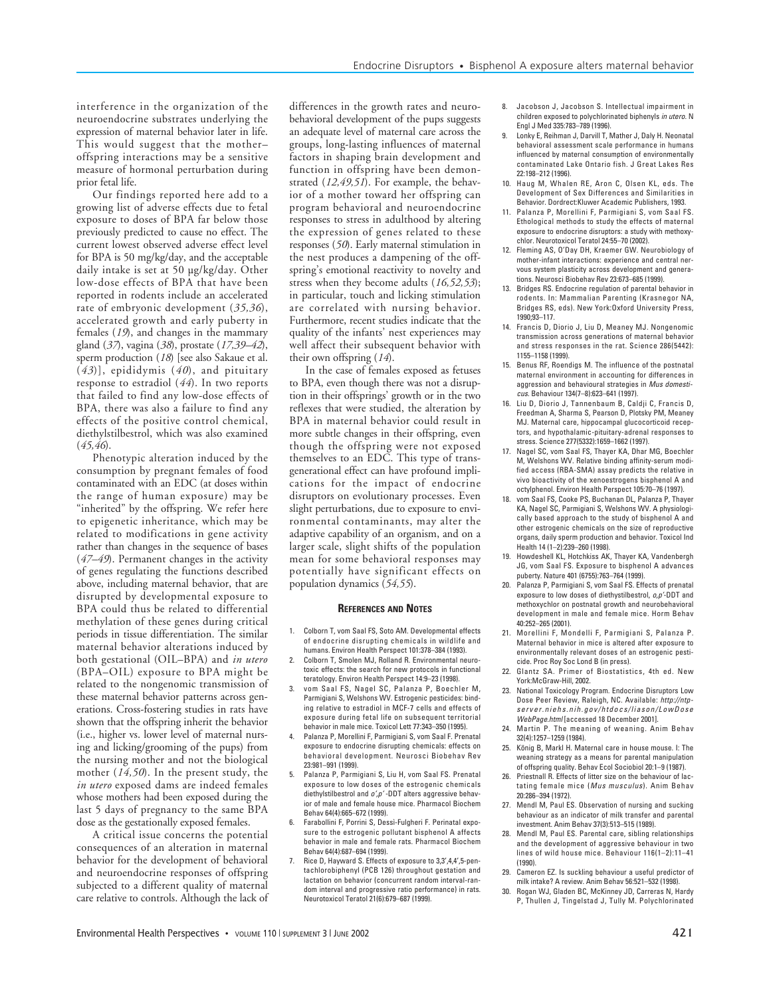interference in the organization of the neuroendocrine substrates underlying the expression of maternal behavior later in life. This would suggest that the mother– offspring interactions may be a sensitive measure of hormonal perturbation during prior fetal life.

Our findings reported here add to a growing list of adverse effects due to fetal exposure to doses of BPA far below those previously predicted to cause no effect. The current lowest observed adverse effect level for BPA is 50 mg/kg/day, and the acceptable daily intake is set at 50 µg/kg/day. Other low-dose effects of BPA that have been reported in rodents include an accelerated rate of embryonic development (*35,36*), accelerated growth and early puberty in females (*19*), and changes in the mammary gland (*37*), vagina (*38*), prostate (*17,39–42*), sperm production (*18*) [see also Sakaue et al. (*43*)], epididymis (*40*), and pituitary response to estradiol (*44*). In two reports that failed to find any low-dose effects of BPA, there was also a failure to find any effects of the positive control chemical, diethylstilbestrol, which was also examined (*45,46*).

Phenotypic alteration induced by the consumption by pregnant females of food contaminated with an EDC (at doses within the range of human exposure) may be "inherited" by the offspring. We refer here to epigenetic inheritance, which may be related to modifications in gene activity rather than changes in the sequence of bases (*47–49*). Permanent changes in the activity of genes regulating the functions described above, including maternal behavior, that are disrupted by developmental exposure to BPA could thus be related to differential methylation of these genes during critical periods in tissue differentiation. The similar maternal behavior alterations induced by both gestational (OIL–BPA) and *in utero* (BPA–OIL) exposure to BPA might be related to the nongenomic transmission of these maternal behavior patterns across generations. Cross-fostering studies in rats have shown that the offspring inherit the behavior (i.e., higher vs. lower level of maternal nursing and licking/grooming of the pups) from the nursing mother and not the biological mother (*14,50*). In the present study, the *in utero* exposed dams are indeed females whose mothers had been exposed during the last 5 days of pregnancy to the same BPA dose as the gestationally exposed females.

A critical issue concerns the potential consequences of an alteration in maternal behavior for the development of behavioral and neuroendocrine responses of offspring subjected to a different quality of maternal care relative to controls. Although the lack of

differences in the growth rates and neurobehavioral development of the pups suggests an adequate level of maternal care across the groups, long-lasting influences of maternal factors in shaping brain development and function in offspring have been demonstrated (*12,49,51*). For example, the behavior of a mother toward her offspring can program behavioral and neuroendocrine responses to stress in adulthood by altering the expression of genes related to these responses (*50*). Early maternal stimulation in the nest produces a dampening of the offspring's emotional reactivity to novelty and stress when they become adults (*16,52,53*); in particular, touch and licking stimulation are correlated with nursing behavior. Furthermore, recent studies indicate that the quality of the infants' nest experiences may well affect their subsequent behavior with their own offspring (*14*).

In the case of females exposed as fetuses to BPA, even though there was not a disruption in their offsprings' growth or in the two reflexes that were studied, the alteration by BPA in maternal behavior could result in more subtle changes in their offspring, even though the offspring were not exposed themselves to an EDC. This type of transgenerational effect can have profound implications for the impact of endocrine disruptors on evolutionary processes. Even slight perturbations, due to exposure to environmental contaminants, may alter the adaptive capability of an organism, and on a larger scale, slight shifts of the population mean for some behavioral responses may potentially have significant effects on population dynamics (*54,55*).

#### **REFERENCES AND NOTES**

- 1. Colborn T, vom Saal FS, Soto AM. Developmental effects of endocrine disrupting chemicals in wildlife and humans. Environ Health Perspect 101:378–384 (1993).
- 2. Colborn T, Smolen MJ, Rolland R. Environmental neurotoxic effects: the search for new protocols in functional teratology. Environ Health Perspect 14:9–23 (1998).
- vom Saal FS, Nagel SC, Palanza P, Boechler M, Parmigiani S, Welshons WV. Estrogenic pesticides: binding relative to estradiol in MCF-7 cells and effects of exposure during fetal life on subsequent territorial behavior in male mice. Toxicol Lett 77:343–350 (1995).
- 4. Palanza P, Morellini F, Parmigiani S, vom Saal F. Prenatal exposure to endocrine disrupting chemicals: effects on behavioral development. Neurosci Biobehav Rev 23:981–991 (1999).
- 5. Palanza P, Parmigiani S, Liu H, vom Saal FS. Prenatal exposure to low doses of the estrogenic chemicals diethylstilbestrol and  $o'$ ,  $p'$ -DDT alters aggressive behavior of male and female house mice. Pharmacol Biochem Behav 64(4):665–672 (1999).
- 6. Farabollini F, Porrini S, Dessì-Fulgheri F. Perinatal exposure to the estrogenic pollutant bisphenol A affects behavior in male and female rats. Pharmacol Biochem Behav 64(4):687–694 (1999).
- Rice D, Hayward S. Effects of exposure to 3,3',4,4',5-pentachlorobiphenyl (PCB 126) throughout gestation and lactation on behavior (concurrent random interval-random interval and progressive ratio performance) in rats. Neurotoxicol Teratol 21(6):679–687 (1999).
- 8. Jacobson J, Jacobson S. Intellectual impairment in children exposed to polychlorinated biphenyls in utero. N Engl J Med 335:783–789 (1996).
- 9. Lonky E, Reihman J, Darvill T, Mather J, Daly H. Neonatal behavioral assessment scale performance in humans influenced by maternal consumption of environmentally contaminated Lake Ontario fish. J Great Lakes Res 22:198–212 (1996).
- 10. Haug M, Whalen RE, Aron C, Olsen KL, eds. The Development of Sex Differences and Similarities in Behavior. Dordrect:Kluwer Academic Publishers, 1993.
- 11. Palanza P, Morellini F, Parmigiani S, vom Saal FS. Ethological methods to study the effects of maternal exposure to endocrine disruptors: a study with methoxychlor. Neurotoxicol Teratol 24:55–70 (2002).
- 12. Fleming AS, O'Day DH, Kraemer GW. Neurobiology of mother-infant interactions: experience and central nervous system plasticity across development and generations. Neurosci Biobehav Rev 23:673–685 (1999).
- 13. Bridges RS. Endocrine regulation of parental behavior in rodents. In: Mammalian Parenting (Krasnegor NA, Bridges RS, eds). New York:Oxford University Press, 1990;93–117.
- 14. Francis D, Diorio J, Liu D, Meaney MJ. Nongenomic transmission across generations of maternal behavior and stress responses in the rat. Science 286(5442): 1155–1158 (1999).
- 15. Benus RF, Roendigs M. The influence of the postnatal maternal environment in accounting for differences in aggression and behavioural strategies in Mus domesticus. Behaviour 134(7–8):623–641 (1997).
- 16. Liu D, Diorio J, Tannenbaum B, Caldji C, Francis D, Freedman A, Sharma S, Pearson D, Plotsky PM, Meaney MJ. Maternal care, hippocampal glucocorticoid receptors, and hypothalamic-pituitary-adrenal responses to stress. Science 277(5332):1659–1662 (1997).
- 17. Nagel SC, vom Saal FS, Thayer KA, Dhar MG, Boechler M, Welshons WV. Relative binding affinity-serum modified access (RBA-SMA) assay predicts the relative in vivo bioactivity of the xenoestrogens bisphenol A and octylphenol. Environ Health Perspect 105:70–76 (1997).
- 18. vom Saal FS, Cooke PS, Buchanan DL, Palanza P, Thayer KA, Nagel SC, Parmigiani S, Welshons WV. A physiologically based approach to the study of bisphenol A and other estrogenic chemicals on the size of reproductive organs, daily sperm production and behavior. Toxicol Ind Health 14 (1–2):239–260 (1998).
- 19. Howdeshell KL, Hotchkiss AK, Thayer KA, Vandenbergh JG, vom Saal FS. Exposure to bisphenol A advances puberty. Nature 401 (6755):763–764 (1999).
- 20. Palanza P, Parmigiani S, vom Saal FS. Effects of prenatal exposure to low doses of diethystilbestrol, o,p'-DDT and methoxychlor on postnatal growth and neurobehavioral development in male and female mice. Horm Behav 40:252–265 (2001).
- 21. Morellini F, Mondelli F, Parmigiani S, Palanza P. Maternal behavior in mice is altered after exposure to environmentally relevant doses of an estrogenic pesticide. Proc Roy Soc Lond B (in press).
- 22. Glantz SA. Primer of Biostatistics, 4th ed. New York:McGraw-Hill, 2002.
- 23. National Toxicology Program. Endocrine Disruptors Low Dose Peer Review, Raleigh, NC. Available: http://ntps e r v e r . n i e h s . n i h . g o v / h t d o c s / l i a s o n / L o w D o s e WebPage.html [accessed 18 December 2001].
- 24. Martin P. The meaning of weaning. Anim Behav 32(4):1257–1259 (1984).
- 25. König B, Markl H. Maternal care in house mouse. I: The weaning strategy as a means for parental manipulation of offspring quality. Behav Ecol Sociobiol 20:1–9 (1987).
- 26. Priestnall R. Effects of litter size on the behaviour of lactating female mice (Mus musculus). Anim Behav 20:286–394 (1972).
- 27. Mendl M, Paul ES. Observation of nursing and sucking behaviour as an indicator of milk transfer and parental investment. Anim Behav 37(3):513–515 (1989).
- 28. Mendl M, Paul ES. Parental care, sibling relationships and the development of aggressive behaviour in two lines of wild house mice. Behaviour 116(1–2):11–41 (1990).
- 29. Cameron EZ. Is suckling behaviour a useful predictor of milk intake? A review. Anim Behav 56:521–532 (1998).
- 30. Rogan WJ, Gladen BC, McKinney JD, Carreras N, Hardy P, Thullen J, Tingelstad J, Tully M. Polychlorinated